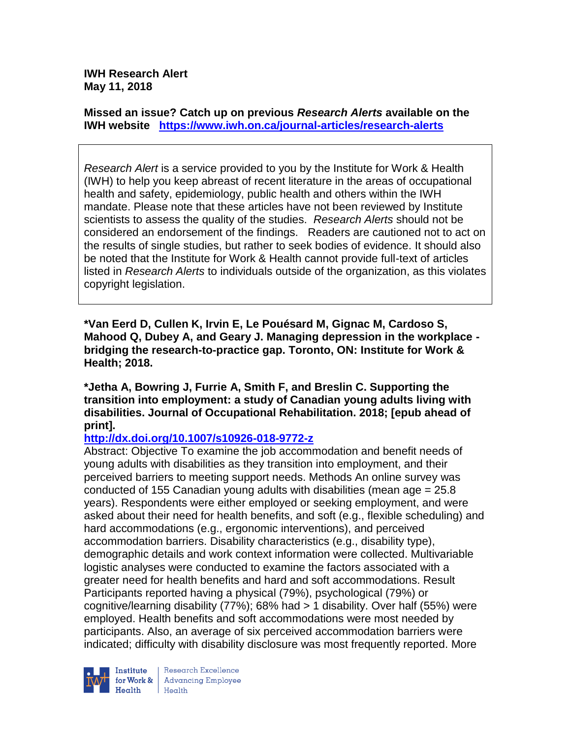**IWH Research Alert May 11, 2018**

**Missed an issue? Catch up on previous** *Research Alerts* **available on the [IWH website](http://www.iwh.on.ca/research-alerts) <https://www.iwh.on.ca/journal-articles/research-alerts>**

*Research Alert* is a service provided to you by the Institute for Work & Health (IWH) to help you keep abreast of recent literature in the areas of occupational health and safety, epidemiology, public health and others within the IWH mandate. Please note that these articles have not been reviewed by Institute scientists to assess the quality of the studies. *Research Alerts* should not be considered an endorsement of the findings. Readers are cautioned not to act on the results of single studies, but rather to seek bodies of evidence. It should also be noted that the Institute for Work & Health cannot provide full-text of articles listed in *Research Alerts* to individuals outside of the organization, as this violates copyright legislation.

**\*Van Eerd D, Cullen K, Irvin E, Le Pouésard M, Gignac M, Cardoso S, Mahood Q, Dubey A, and Geary J. Managing depression in the workplace bridging the research-to-practice gap. Toronto, ON: Institute for Work & Health; 2018.**

**\*Jetha A, Bowring J, Furrie A, Smith F, and Breslin C. Supporting the transition into employment: a study of Canadian young adults living with disabilities. Journal of Occupational Rehabilitation. 2018; [epub ahead of print].**

**<http://dx.doi.org/10.1007/s10926-018-9772-z>**

Abstract: Objective To examine the job accommodation and benefit needs of young adults with disabilities as they transition into employment, and their perceived barriers to meeting support needs. Methods An online survey was conducted of 155 Canadian young adults with disabilities (mean age = 25.8 years). Respondents were either employed or seeking employment, and were asked about their need for health benefits, and soft (e.g., flexible scheduling) and hard accommodations (e.g., ergonomic interventions), and perceived accommodation barriers. Disability characteristics (e.g., disability type), demographic details and work context information were collected. Multivariable logistic analyses were conducted to examine the factors associated with a greater need for health benefits and hard and soft accommodations. Result Participants reported having a physical (79%), psychological (79%) or cognitive/learning disability (77%); 68% had > 1 disability. Over half (55%) were employed. Health benefits and soft accommodations were most needed by participants. Also, an average of six perceived accommodation barriers were indicated; difficulty with disability disclosure was most frequently reported. More



Research Excellence for Work & | Advancing Employee  $H_{\text{each}}$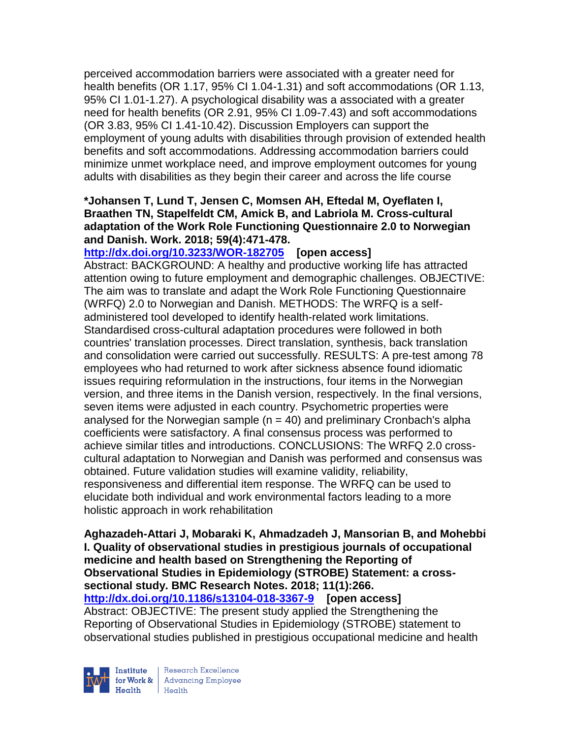perceived accommodation barriers were associated with a greater need for health benefits (OR 1.17, 95% CI 1.04-1.31) and soft accommodations (OR 1.13, 95% CI 1.01-1.27). A psychological disability was a associated with a greater need for health benefits (OR 2.91, 95% CI 1.09-7.43) and soft accommodations (OR 3.83, 95% CI 1.41-10.42). Discussion Employers can support the employment of young adults with disabilities through provision of extended health benefits and soft accommodations. Addressing accommodation barriers could minimize unmet workplace need, and improve employment outcomes for young adults with disabilities as they begin their career and across the life course

## **\*Johansen T, Lund T, Jensen C, Momsen AH, Eftedal M, Oyeflaten I, Braathen TN, Stapelfeldt CM, Amick B, and Labriola M. Cross-cultural adaptation of the Work Role Functioning Questionnaire 2.0 to Norwegian and Danish. Work. 2018; 59(4):471-478.**

**<http://dx.doi.org/10.3233/WOR-182705>[open access]** Abstract: BACKGROUND: A healthy and productive working life has attracted attention owing to future employment and demographic challenges. OBJECTIVE: The aim was to translate and adapt the Work Role Functioning Questionnaire (WRFQ) 2.0 to Norwegian and Danish. METHODS: The WRFQ is a selfadministered tool developed to identify health-related work limitations. Standardised cross-cultural adaptation procedures were followed in both countries' translation processes. Direct translation, synthesis, back translation and consolidation were carried out successfully. RESULTS: A pre-test among 78 employees who had returned to work after sickness absence found idiomatic issues requiring reformulation in the instructions, four items in the Norwegian version, and three items in the Danish version, respectively. In the final versions, seven items were adjusted in each country. Psychometric properties were analysed for the Norwegian sample  $(n = 40)$  and preliminary Cronbach's alpha coefficients were satisfactory. A final consensus process was performed to achieve similar titles and introductions. CONCLUSIONS: The WRFQ 2.0 crosscultural adaptation to Norwegian and Danish was performed and consensus was obtained. Future validation studies will examine validity, reliability, responsiveness and differential item response. The WRFQ can be used to elucidate both individual and work environmental factors leading to a more holistic approach in work rehabilitation

**Aghazadeh-Attari J, Mobaraki K, Ahmadzadeh J, Mansorian B, and Mohebbi I. Quality of observational studies in prestigious journals of occupational medicine and health based on Strengthening the Reporting of Observational Studies in Epidemiology (STROBE) Statement: a crosssectional study. BMC Research Notes. 2018; 11(1):266.**

**<http://dx.doi.org/10.1186/s13104-018-3367-9>[open access]** Abstract: OBJECTIVE: The present study applied the Strengthening the Reporting of Observational Studies in Epidemiology (STROBE) statement to observational studies published in prestigious occupational medicine and health



Research Excellence for Work & Advancing Employee<br>Health Health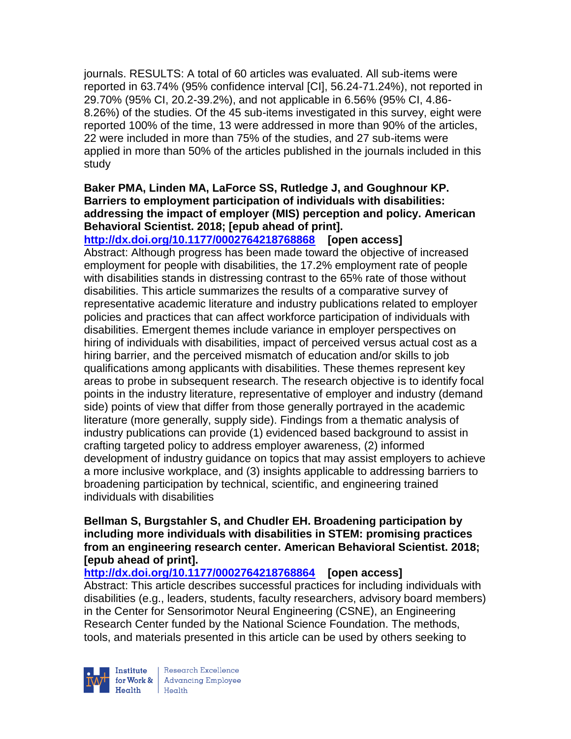journals. RESULTS: A total of 60 articles was evaluated. All sub-items were reported in 63.74% (95% confidence interval [CI], 56.24-71.24%), not reported in 29.70% (95% CI, 20.2-39.2%), and not applicable in 6.56% (95% CI, 4.86- 8.26%) of the studies. Of the 45 sub-items investigated in this survey, eight were reported 100% of the time, 13 were addressed in more than 90% of the articles, 22 were included in more than 75% of the studies, and 27 sub-items were applied in more than 50% of the articles published in the journals included in this study

# **Baker PMA, Linden MA, LaForce SS, Rutledge J, and Goughnour KP. Barriers to employment participation of individuals with disabilities: addressing the impact of employer (MIS) perception and policy. American Behavioral Scientist. 2018; [epub ahead of print].**

**<http://dx.doi.org/10.1177/0002764218768868>[open access]** Abstract: Although progress has been made toward the objective of increased employment for people with disabilities, the 17.2% employment rate of people with disabilities stands in distressing contrast to the 65% rate of those without disabilities. This article summarizes the results of a comparative survey of representative academic literature and industry publications related to employer policies and practices that can affect workforce participation of individuals with disabilities. Emergent themes include variance in employer perspectives on hiring of individuals with disabilities, impact of perceived versus actual cost as a hiring barrier, and the perceived mismatch of education and/or skills to job qualifications among applicants with disabilities. These themes represent key areas to probe in subsequent research. The research objective is to identify focal points in the industry literature, representative of employer and industry (demand side) points of view that differ from those generally portrayed in the academic literature (more generally, supply side). Findings from a thematic analysis of industry publications can provide (1) evidenced based background to assist in crafting targeted policy to address employer awareness, (2) informed development of industry guidance on topics that may assist employers to achieve a more inclusive workplace, and (3) insights applicable to addressing barriers to broadening participation by technical, scientific, and engineering trained individuals with disabilities

## **Bellman S, Burgstahler S, and Chudler EH. Broadening participation by including more individuals with disabilities in STEM: promising practices from an engineering research center. American Behavioral Scientist. 2018; [epub ahead of print].**

**<http://dx.doi.org/10.1177/0002764218768864>[open access]** Abstract: This article describes successful practices for including individuals with disabilities (e.g., leaders, students, faculty researchers, advisory board members) in the Center for Sensorimotor Neural Engineering (CSNE), an Engineering Research Center funded by the National Science Foundation. The methods, tools, and materials presented in this article can be used by others seeking to



Research Excellence for Work & | Advancing Employee Health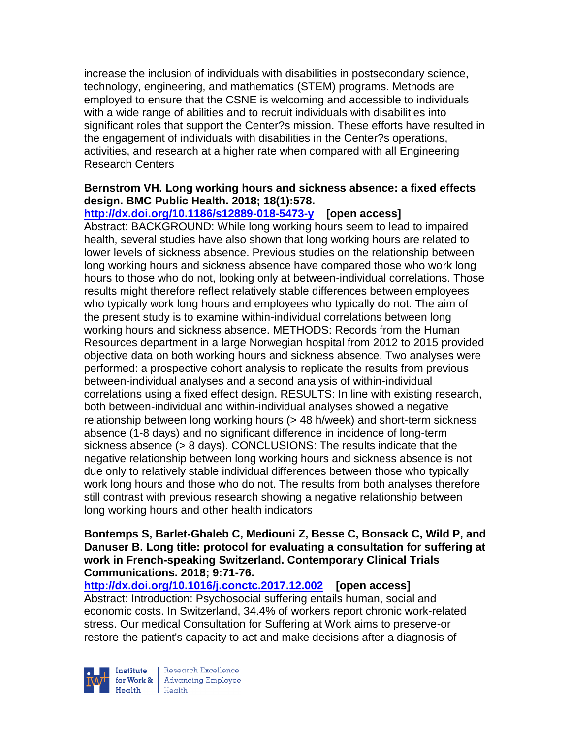increase the inclusion of individuals with disabilities in postsecondary science, technology, engineering, and mathematics (STEM) programs. Methods are employed to ensure that the CSNE is welcoming and accessible to individuals with a wide range of abilities and to recruit individuals with disabilities into significant roles that support the Center?s mission. These efforts have resulted in the engagement of individuals with disabilities in the Center?s operations, activities, and research at a higher rate when compared with all Engineering Research Centers

# **Bernstrom VH. Long working hours and sickness absence: a fixed effects design. BMC Public Health. 2018; 18(1):578.**

**<http://dx.doi.org/10.1186/s12889-018-5473-y>[open access]** Abstract: BACKGROUND: While long working hours seem to lead to impaired health, several studies have also shown that long working hours are related to lower levels of sickness absence. Previous studies on the relationship between long working hours and sickness absence have compared those who work long hours to those who do not, looking only at between-individual correlations. Those results might therefore reflect relatively stable differences between employees who typically work long hours and employees who typically do not. The aim of the present study is to examine within-individual correlations between long working hours and sickness absence. METHODS: Records from the Human Resources department in a large Norwegian hospital from 2012 to 2015 provided objective data on both working hours and sickness absence. Two analyses were performed: a prospective cohort analysis to replicate the results from previous between-individual analyses and a second analysis of within-individual correlations using a fixed effect design. RESULTS: In line with existing research, both between-individual and within-individual analyses showed a negative relationship between long working hours (> 48 h/week) and short-term sickness absence (1-8 days) and no significant difference in incidence of long-term sickness absence (> 8 days). CONCLUSIONS: The results indicate that the negative relationship between long working hours and sickness absence is not due only to relatively stable individual differences between those who typically work long hours and those who do not. The results from both analyses therefore still contrast with previous research showing a negative relationship between long working hours and other health indicators

#### **Bontemps S, Barlet-Ghaleb C, Mediouni Z, Besse C, Bonsack C, Wild P, and Danuser B. Long title: protocol for evaluating a consultation for suffering at work in French-speaking Switzerland. Contemporary Clinical Trials Communications. 2018; 9:71-76.**

**<http://dx.doi.org/10.1016/j.conctc.2017.12.002>[open access]** Abstract: Introduction: Psychosocial suffering entails human, social and economic costs. In Switzerland, 34.4% of workers report chronic work-related stress. Our medical Consultation for Suffering at Work aims to preserve-or restore-the patient's capacity to act and make decisions after a diagnosis of



Research Excellence for Work & | Advancing Employee  $Heath$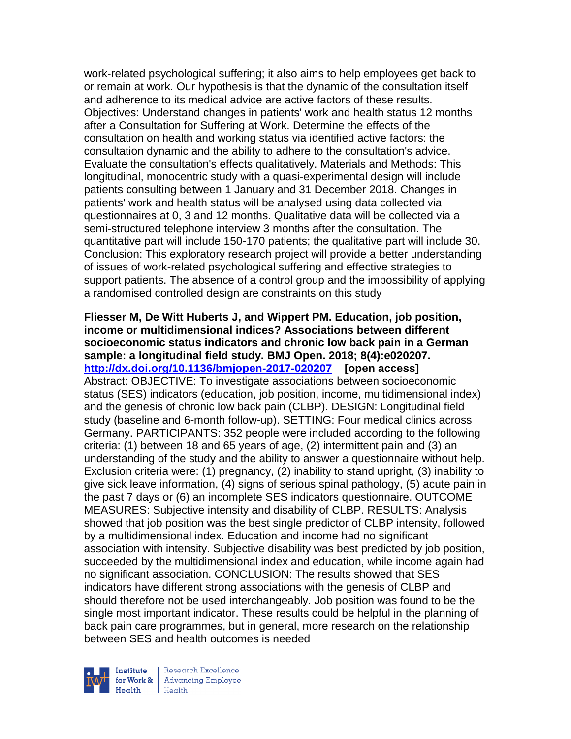work-related psychological suffering; it also aims to help employees get back to or remain at work. Our hypothesis is that the dynamic of the consultation itself and adherence to its medical advice are active factors of these results. Objectives: Understand changes in patients' work and health status 12 months after a Consultation for Suffering at Work. Determine the effects of the consultation on health and working status via identified active factors: the consultation dynamic and the ability to adhere to the consultation's advice. Evaluate the consultation's effects qualitatively. Materials and Methods: This longitudinal, monocentric study with a quasi-experimental design will include patients consulting between 1 January and 31 December 2018. Changes in patients' work and health status will be analysed using data collected via questionnaires at 0, 3 and 12 months. Qualitative data will be collected via a semi-structured telephone interview 3 months after the consultation. The quantitative part will include 150-170 patients; the qualitative part will include 30. Conclusion: This exploratory research project will provide a better understanding of issues of work-related psychological suffering and effective strategies to support patients. The absence of a control group and the impossibility of applying a randomised controlled design are constraints on this study

**Fliesser M, De Witt Huberts J, and Wippert PM. Education, job position, income or multidimensional indices? Associations between different socioeconomic status indicators and chronic low back pain in a German sample: a longitudinal field study. BMJ Open. 2018; 8(4):e020207. <http://dx.doi.org/10.1136/bmjopen-2017-020207>[open access]** Abstract: OBJECTIVE: To investigate associations between socioeconomic status (SES) indicators (education, job position, income, multidimensional index) and the genesis of chronic low back pain (CLBP). DESIGN: Longitudinal field study (baseline and 6-month follow-up). SETTING: Four medical clinics across Germany. PARTICIPANTS: 352 people were included according to the following criteria: (1) between 18 and 65 years of age, (2) intermittent pain and (3) an understanding of the study and the ability to answer a questionnaire without help. Exclusion criteria were: (1) pregnancy, (2) inability to stand upright, (3) inability to give sick leave information, (4) signs of serious spinal pathology, (5) acute pain in the past 7 days or (6) an incomplete SES indicators questionnaire. OUTCOME MEASURES: Subjective intensity and disability of CLBP. RESULTS: Analysis showed that job position was the best single predictor of CLBP intensity, followed by a multidimensional index. Education and income had no significant association with intensity. Subjective disability was best predicted by job position, succeeded by the multidimensional index and education, while income again had no significant association. CONCLUSION: The results showed that SES indicators have different strong associations with the genesis of CLBP and should therefore not be used interchangeably. Job position was found to be the single most important indicator. These results could be helpful in the planning of back pain care programmes, but in general, more research on the relationship between SES and health outcomes is needed



Research Excellence for Work & | Advancing Employee Health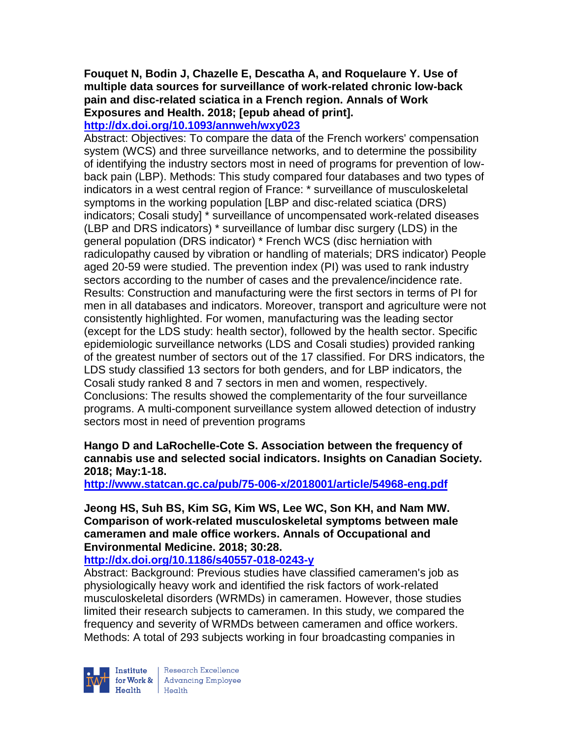# **Fouquet N, Bodin J, Chazelle E, Descatha A, and Roquelaure Y. Use of multiple data sources for surveillance of work-related chronic low-back pain and disc-related sciatica in a French region. Annals of Work Exposures and Health. 2018; [epub ahead of print].**

# **<http://dx.doi.org/10.1093/annweh/wxy023>**

Abstract: Objectives: To compare the data of the French workers' compensation system (WCS) and three surveillance networks, and to determine the possibility of identifying the industry sectors most in need of programs for prevention of lowback pain (LBP). Methods: This study compared four databases and two types of indicators in a west central region of France: \* surveillance of musculoskeletal symptoms in the working population [LBP and disc-related sciatica (DRS) indicators; Cosali study] \* surveillance of uncompensated work-related diseases (LBP and DRS indicators) \* surveillance of lumbar disc surgery (LDS) in the general population (DRS indicator) \* French WCS (disc herniation with radiculopathy caused by vibration or handling of materials; DRS indicator) People aged 20-59 were studied. The prevention index (PI) was used to rank industry sectors according to the number of cases and the prevalence/incidence rate. Results: Construction and manufacturing were the first sectors in terms of PI for men in all databases and indicators. Moreover, transport and agriculture were not consistently highlighted. For women, manufacturing was the leading sector (except for the LDS study: health sector), followed by the health sector. Specific epidemiologic surveillance networks (LDS and Cosali studies) provided ranking of the greatest number of sectors out of the 17 classified. For DRS indicators, the LDS study classified 13 sectors for both genders, and for LBP indicators, the Cosali study ranked 8 and 7 sectors in men and women, respectively. Conclusions: The results showed the complementarity of the four surveillance programs. A multi-component surveillance system allowed detection of industry sectors most in need of prevention programs

# **Hango D and LaRochelle-Cote S. Association between the frequency of cannabis use and selected social indicators. Insights on Canadian Society. 2018; May:1-18.**

**<http://www.statcan.gc.ca/pub/75-006-x/2018001/article/54968-eng.pdf>**

**Jeong HS, Suh BS, Kim SG, Kim WS, Lee WC, Son KH, and Nam MW. Comparison of work-related musculoskeletal symptoms between male cameramen and male office workers. Annals of Occupational and Environmental Medicine. 2018; 30:28.**

**<http://dx.doi.org/10.1186/s40557-018-0243-y>**

Abstract: Background: Previous studies have classified cameramen's job as physiologically heavy work and identified the risk factors of work-related musculoskeletal disorders (WRMDs) in cameramen. However, those studies limited their research subjects to cameramen. In this study, we compared the frequency and severity of WRMDs between cameramen and office workers. Methods: A total of 293 subjects working in four broadcasting companies in

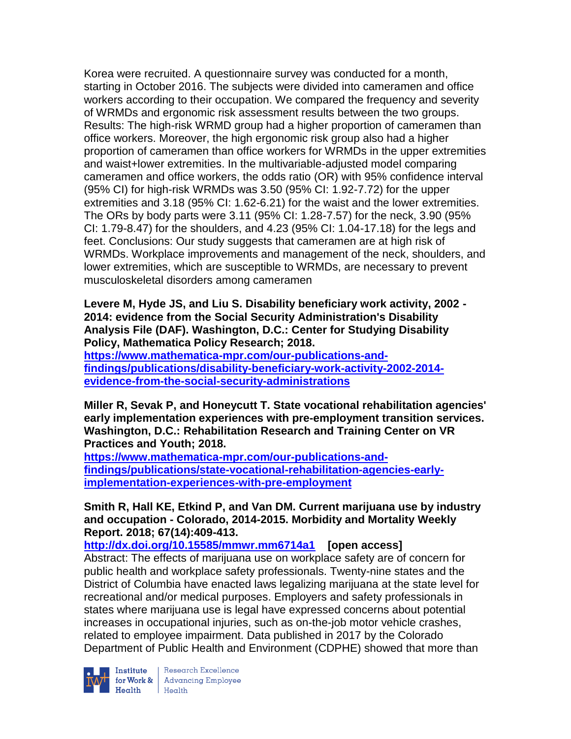Korea were recruited. A questionnaire survey was conducted for a month, starting in October 2016. The subjects were divided into cameramen and office workers according to their occupation. We compared the frequency and severity of WRMDs and ergonomic risk assessment results between the two groups. Results: The high-risk WRMD group had a higher proportion of cameramen than office workers. Moreover, the high ergonomic risk group also had a higher proportion of cameramen than office workers for WRMDs in the upper extremities and waist+lower extremities. In the multivariable-adjusted model comparing cameramen and office workers, the odds ratio (OR) with 95% confidence interval (95% CI) for high-risk WRMDs was 3.50 (95% CI: 1.92-7.72) for the upper extremities and 3.18 (95% CI: 1.62-6.21) for the waist and the lower extremities. The ORs by body parts were 3.11 (95% CI: 1.28-7.57) for the neck, 3.90 (95% CI: 1.79-8.47) for the shoulders, and 4.23 (95% CI: 1.04-17.18) for the legs and feet. Conclusions: Our study suggests that cameramen are at high risk of WRMDs. Workplace improvements and management of the neck, shoulders, and lower extremities, which are susceptible to WRMDs, are necessary to prevent musculoskeletal disorders among cameramen

**Levere M, Hyde JS, and Liu S. Disability beneficiary work activity, 2002 - 2014: evidence from the Social Security Administration's Disability Analysis File (DAF). Washington, D.C.: Center for Studying Disability Policy, Mathematica Policy Research; 2018.** 

**[https://www.mathematica-mpr.com/our-publications-and](https://www.mathematica-mpr.com/our-publications-and-findings/publications/disability-beneficiary-work-activity-2002-2014-evidence-from-the-social-security-administrations)[findings/publications/disability-beneficiary-work-activity-2002-2014](https://www.mathematica-mpr.com/our-publications-and-findings/publications/disability-beneficiary-work-activity-2002-2014-evidence-from-the-social-security-administrations) [evidence-from-the-social-security-administrations](https://www.mathematica-mpr.com/our-publications-and-findings/publications/disability-beneficiary-work-activity-2002-2014-evidence-from-the-social-security-administrations)**

**Miller R, Sevak P, and Honeycutt T. State vocational rehabilitation agencies' early implementation experiences with pre-employment transition services. Washington, D.C.: Rehabilitation Research and Training Center on VR Practices and Youth; 2018.**

**[https://www.mathematica-mpr.com/our-publications-and](https://www.mathematica-mpr.com/our-publications-and-findings/publications/state-vocational-rehabilitation-agencies-early-implementation-experiences-with-pre-employment)[findings/publications/state-vocational-rehabilitation-agencies-early](https://www.mathematica-mpr.com/our-publications-and-findings/publications/state-vocational-rehabilitation-agencies-early-implementation-experiences-with-pre-employment)[implementation-experiences-with-pre-employment](https://www.mathematica-mpr.com/our-publications-and-findings/publications/state-vocational-rehabilitation-agencies-early-implementation-experiences-with-pre-employment)**

**Smith R, Hall KE, Etkind P, and Van DM. Current marijuana use by industry and occupation - Colorado, 2014-2015. Morbidity and Mortality Weekly Report. 2018; 67(14):409-413.** 

**<http://dx.doi.org/10.15585/mmwr.mm6714a1>[open access]**

Abstract: The effects of marijuana use on workplace safety are of concern for public health and workplace safety professionals. Twenty-nine states and the District of Columbia have enacted laws legalizing marijuana at the state level for recreational and/or medical purposes. Employers and safety professionals in states where marijuana use is legal have expressed concerns about potential increases in occupational injuries, such as on-the-job motor vehicle crashes, related to employee impairment. Data published in 2017 by the Colorado Department of Public Health and Environment (CDPHE) showed that more than



**Institute** Research Excellence<br> **for Work &** Advancing Employee<br> **Health** Health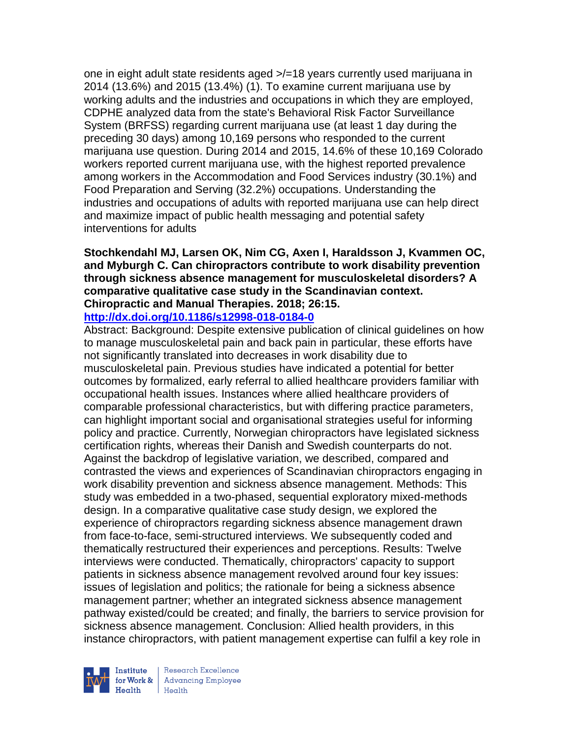one in eight adult state residents aged >/=18 years currently used marijuana in 2014 (13.6%) and 2015 (13.4%) (1). To examine current marijuana use by working adults and the industries and occupations in which they are employed, CDPHE analyzed data from the state's Behavioral Risk Factor Surveillance System (BRFSS) regarding current marijuana use (at least 1 day during the preceding 30 days) among 10,169 persons who responded to the current marijuana use question. During 2014 and 2015, 14.6% of these 10,169 Colorado workers reported current marijuana use, with the highest reported prevalence among workers in the Accommodation and Food Services industry (30.1%) and Food Preparation and Serving (32.2%) occupations. Understanding the industries and occupations of adults with reported marijuana use can help direct and maximize impact of public health messaging and potential safety interventions for adults

#### **Stochkendahl MJ, Larsen OK, Nim CG, Axen I, Haraldsson J, Kvammen OC, and Myburgh C. Can chiropractors contribute to work disability prevention through sickness absence management for musculoskeletal disorders? A comparative qualitative case study in the Scandinavian context. Chiropractic and Manual Therapies. 2018; 26:15. <http://dx.doi.org/10.1186/s12998-018-0184-0>**

Abstract: Background: Despite extensive publication of clinical guidelines on how to manage musculoskeletal pain and back pain in particular, these efforts have not significantly translated into decreases in work disability due to musculoskeletal pain. Previous studies have indicated a potential for better outcomes by formalized, early referral to allied healthcare providers familiar with occupational health issues. Instances where allied healthcare providers of comparable professional characteristics, but with differing practice parameters, can highlight important social and organisational strategies useful for informing policy and practice. Currently, Norwegian chiropractors have legislated sickness certification rights, whereas their Danish and Swedish counterparts do not. Against the backdrop of legislative variation, we described, compared and contrasted the views and experiences of Scandinavian chiropractors engaging in work disability prevention and sickness absence management. Methods: This study was embedded in a two-phased, sequential exploratory mixed-methods design. In a comparative qualitative case study design, we explored the experience of chiropractors regarding sickness absence management drawn from face-to-face, semi-structured interviews. We subsequently coded and thematically restructured their experiences and perceptions. Results: Twelve interviews were conducted. Thematically, chiropractors' capacity to support patients in sickness absence management revolved around four key issues: issues of legislation and politics; the rationale for being a sickness absence management partner; whether an integrated sickness absence management pathway existed/could be created; and finally, the barriers to service provision for sickness absence management. Conclusion: Allied health providers, in this instance chiropractors, with patient management expertise can fulfil a key role in



Research Excellence for Work & | Advancing Employee Health